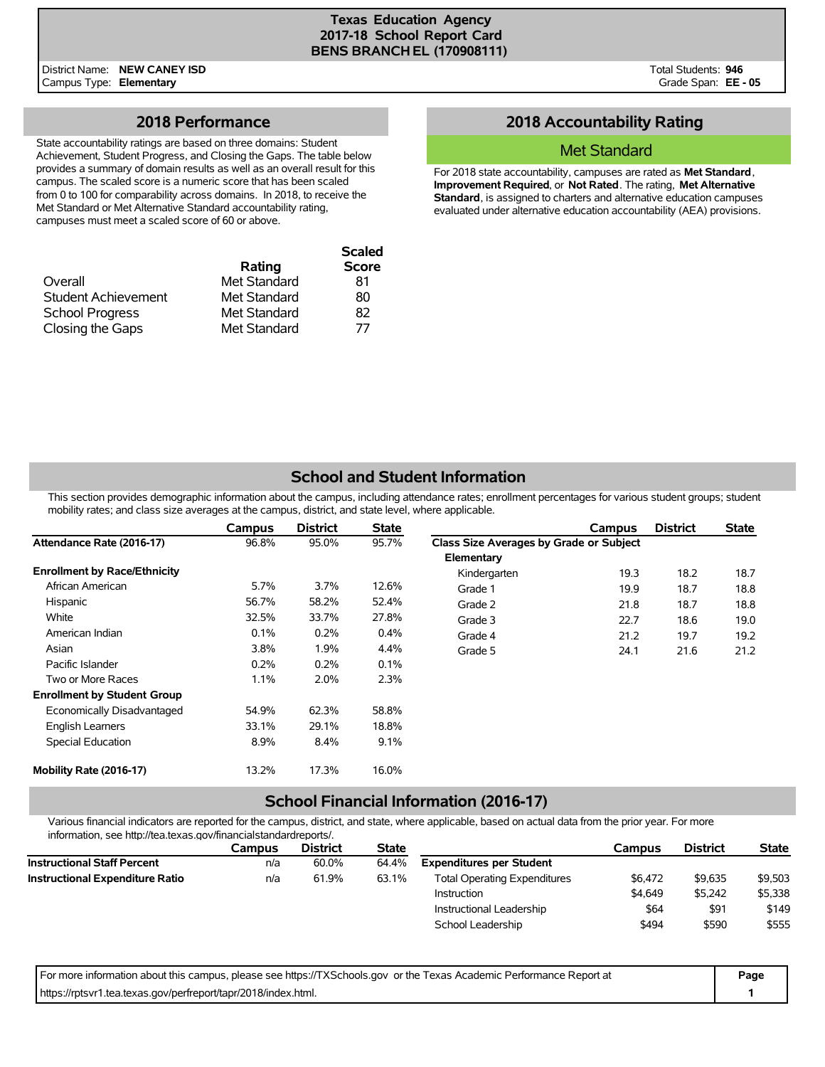District Name: **NEW CANEY ISD** Campus Type: **Elementary**

### **2018 Performance**

State accountability ratings are based on three domains: Student Achievement, Student Progress, and Closing the Gaps. The table below provides a summary of domain results as well as an overall result for this campus. The scaled score is a numeric score that has been scaled from 0 to 100 for comparability across domains. In 2018, to receive the Met Standard or Met Alternative Standard accountability rating, campuses must meet a scaled score of 60 or above.

| Overall                    | Rating<br>Met Standard | <b>Scaled</b><br><b>Score</b><br>81 |
|----------------------------|------------------------|-------------------------------------|
| <b>Student Achievement</b> | Met Standard           | 80                                  |
| <b>School Progress</b>     | Met Standard           | 82                                  |
| Closing the Gaps           | Met Standard           | 77                                  |

## **2018 Accountability Rating**

#### Met Standard

For 2018 state accountability, campuses are rated as **Met Standard**, **Improvement Required**, or **Not Rated**. The rating, **Met Alternative Standard**, is assigned to charters and alternative education campuses evaluated under alternative education accountability (AEA) provisions.

## **School and Student Information**

This section provides demographic information about the campus, including attendance rates; enrollment percentages for various student groups; student mobility rates; and class size averages at the campus, district, and state level, where applicable.

|                                     | Campus | <b>District</b> | <b>State</b> |                                         | Campus | <b>District</b> | <b>State</b> |
|-------------------------------------|--------|-----------------|--------------|-----------------------------------------|--------|-----------------|--------------|
| Attendance Rate (2016-17)           | 96.8%  | 95.0%           | 95.7%        | Class Size Averages by Grade or Subject |        |                 |              |
|                                     |        |                 |              | Elementary                              |        |                 |              |
| <b>Enrollment by Race/Ethnicity</b> |        |                 |              | Kindergarten                            | 19.3   | 18.2            | 18.7         |
| African American                    | 5.7%   | $3.7\%$         | 12.6%        | Grade 1                                 | 19.9   | 18.7            | 18.8         |
| Hispanic                            | 56.7%  | 58.2%           | 52.4%        | Grade 2                                 | 21.8   | 18.7            | 18.8         |
| White                               | 32.5%  | 33.7%           | 27.8%        | Grade 3                                 | 22.7   | 18.6            | 19.0         |
| American Indian                     | 0.1%   | 0.2%            | 0.4%         | Grade 4                                 | 21.2   | 19.7            | 19.2         |
| Asian                               | 3.8%   | 1.9%            | 4.4%         | Grade 5                                 | 24.1   | 21.6            | 21.2         |
| Pacific Islander                    | 0.2%   | 0.2%            | 0.1%         |                                         |        |                 |              |
| Two or More Races                   | 1.1%   | 2.0%            | 2.3%         |                                         |        |                 |              |
| <b>Enrollment by Student Group</b>  |        |                 |              |                                         |        |                 |              |
| Economically Disadvantaged          | 54.9%  | 62.3%           | 58.8%        |                                         |        |                 |              |
| English Learners                    | 33.1%  | 29.1%           | 18.8%        |                                         |        |                 |              |
| Special Education                   | 8.9%   | 8.4%            | 9.1%         |                                         |        |                 |              |
| Mobility Rate (2016-17)             | 13.2%  | 17.3%           | 16.0%        |                                         |        |                 |              |

### **School Financial Information (2016-17)**

Various financial indicators are reported for the campus, district, and state, where applicable, based on actual data from the prior year. For more information, see http://tea.texas.gov/financialstandardreports/.

|                                        | Campus | <b>District</b> | <b>State</b> |                                     | Campus  | <b>District</b> | <b>State</b> |
|----------------------------------------|--------|-----------------|--------------|-------------------------------------|---------|-----------------|--------------|
| <b>Instructional Staff Percent</b>     | n/a    | 60.0%           | 64.4%        | <b>Expenditures per Student</b>     |         |                 |              |
| <b>Instructional Expenditure Ratio</b> | n/a    | 61.9%           | 63.1%        | <b>Total Operating Expenditures</b> | \$6.472 | \$9,635         | \$9,503      |
|                                        |        |                 |              | Instruction                         | \$4,649 | \$5,242         | \$5,338      |
|                                        |        |                 |              | Instructional Leadership            | \$64    | \$91            | \$149        |
|                                        |        |                 |              | School Leadership                   | \$494   | \$590           | \$555        |

| For more information about this campus, please see https://TXSchools.gov or the Texas Academic Performance Report at | Page |
|----------------------------------------------------------------------------------------------------------------------|------|
| https://rptsvr1.tea.texas.gov/perfreport/tapr/2018/index.html.                                                       |      |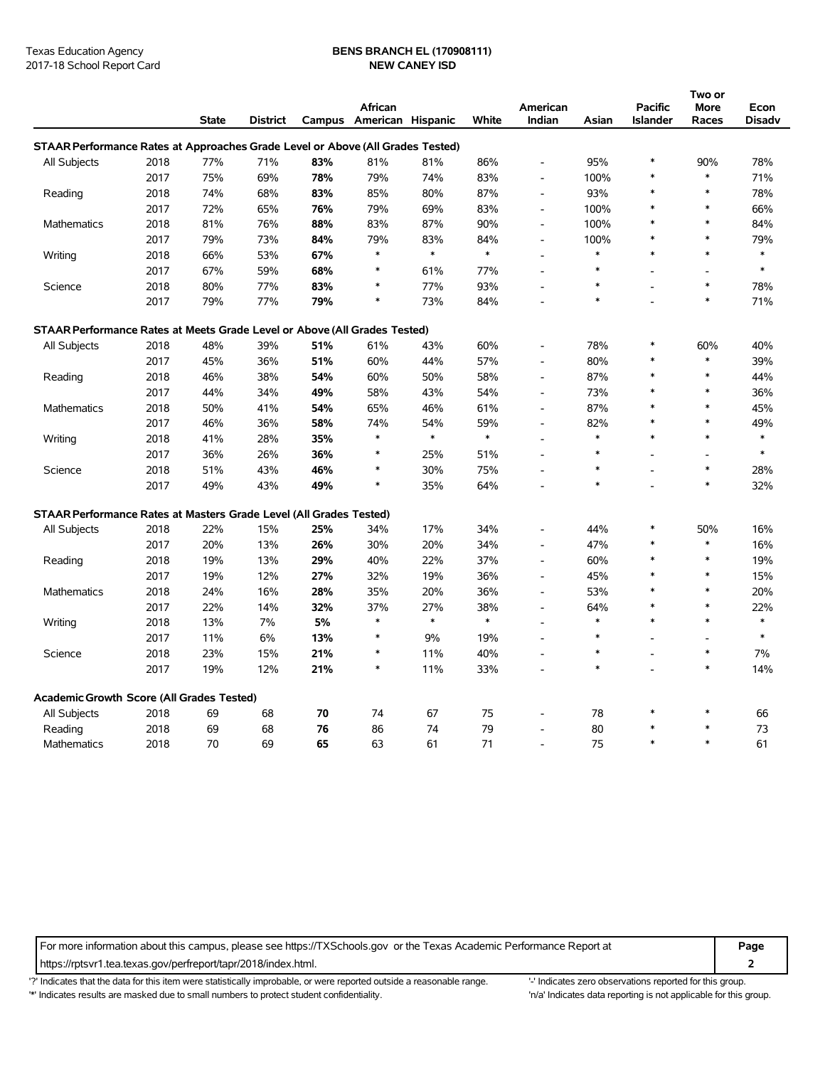# Texas Education Agency **BENS BRANCH EL (170908111)**

|                                                                                |      |              |          |        |                   |        |        |                          |        |                          | Two or         |               |
|--------------------------------------------------------------------------------|------|--------------|----------|--------|-------------------|--------|--------|--------------------------|--------|--------------------------|----------------|---------------|
|                                                                                |      |              |          |        | African           |        |        | American                 |        | <b>Pacific</b>           | More           | Econ          |
|                                                                                |      | <b>State</b> | District | Campus | American Hispanic |        | White  | Indian                   | Asian  | <b>Islander</b>          | Races          | <b>Disadv</b> |
| STAAR Performance Rates at Approaches Grade Level or Above (All Grades Tested) |      |              |          |        |                   |        |        |                          |        |                          |                |               |
| <b>All Subjects</b>                                                            | 2018 | 77%          | 71%      | 83%    | 81%               | 81%    | 86%    | $\overline{\phantom{a}}$ | 95%    | $\ast$                   | 90%            | 78%           |
|                                                                                | 2017 | 75%          | 69%      | 78%    | 79%               | 74%    | 83%    |                          | 100%   | $\ast$                   | $\ast$         | 71%           |
| Reading                                                                        | 2018 | 74%          | 68%      | 83%    | 85%               | 80%    | 87%    |                          | 93%    | $\ast$                   | $\ast$         | 78%           |
|                                                                                | 2017 | 72%          | 65%      | 76%    | 79%               | 69%    | 83%    | $\overline{a}$           | 100%   | $\ast$                   | $\ast$         | 66%           |
| Mathematics                                                                    | 2018 | 81%          | 76%      | 88%    | 83%               | 87%    | 90%    | $\overline{\phantom{a}}$ | 100%   | $\ast$                   | $\ast$         | 84%           |
|                                                                                | 2017 | 79%          | 73%      | 84%    | 79%               | 83%    | 84%    | $\overline{\phantom{a}}$ | 100%   | $\ast$                   | $\ast$         | 79%           |
| Writing                                                                        | 2018 | 66%          | 53%      | 67%    | $\ast$            | $\ast$ | $\ast$ | $\overline{\phantom{a}}$ | $\ast$ | $\ast$                   | $\ast$         | $\ast$        |
|                                                                                | 2017 | 67%          | 59%      | 68%    | $\ast$            | 61%    | 77%    |                          | $\ast$ |                          | $\blacksquare$ | $\ast$        |
| Science                                                                        | 2018 | 80%          | 77%      | 83%    | $\ast$            | 77%    | 93%    |                          | $\ast$ | $\overline{\phantom{a}}$ | $\ast$         | 78%           |
|                                                                                | 2017 | 79%          | 77%      | 79%    | $\ast$            | 73%    | 84%    |                          | $\ast$ |                          | $\ast$         | 71%           |
| STAAR Performance Rates at Meets Grade Level or Above (All Grades Tested)      |      |              |          |        |                   |        |        |                          |        |                          |                |               |
| All Subjects                                                                   | 2018 | 48%          | 39%      | 51%    | 61%               | 43%    | 60%    |                          | 78%    | $\ast$                   | 60%            | 40%           |
|                                                                                | 2017 | 45%          | 36%      | 51%    | 60%               | 44%    | 57%    |                          | 80%    | $\ast$                   | $\ast$         | 39%           |
| Reading                                                                        | 2018 | 46%          | 38%      | 54%    | 60%               | 50%    | 58%    | $\overline{a}$           | 87%    | $\ast$                   | $\ast$         | 44%           |
|                                                                                | 2017 | 44%          | 34%      | 49%    | 58%               | 43%    | 54%    | $\overline{\phantom{a}}$ | 73%    | $\ast$                   | $\ast$         | 36%           |
| Mathematics                                                                    | 2018 | 50%          | 41%      | 54%    | 65%               | 46%    | 61%    |                          | 87%    | $\ast$                   | $\ast$         | 45%           |
|                                                                                | 2017 | 46%          | 36%      | 58%    | 74%               | 54%    | 59%    | $\overline{\phantom{a}}$ | 82%    | $\ast$                   | $\ast$         | 49%           |
| Writing                                                                        | 2018 | 41%          | 28%      | 35%    | $\ast$            | $\ast$ | $\ast$ | $\overline{a}$           | $\ast$ | $\ast$                   | $\ast$         | $\ast$        |
|                                                                                | 2017 | 36%          | 26%      | 36%    | $\ast$            | 25%    | 51%    | $\blacksquare$           | $\ast$ | $\overline{\phantom{a}}$ | $\blacksquare$ | *             |
| Science                                                                        | 2018 | 51%          | 43%      | 46%    | $\ast$            | 30%    | 75%    |                          | $\ast$ |                          | $\ast$         | 28%           |
|                                                                                | 2017 | 49%          | 43%      | 49%    | $\ast$            | 35%    | 64%    |                          | $\ast$ | $\overline{a}$           | $\ast$         | 32%           |
| STAAR Performance Rates at Masters Grade Level (All Grades Tested)             |      |              |          |        |                   |        |        |                          |        |                          |                |               |
| All Subjects                                                                   | 2018 | 22%          | 15%      | 25%    | 34%               | 17%    | 34%    |                          | 44%    | $\ast$                   | 50%            | 16%           |
|                                                                                | 2017 | 20%          | 13%      | 26%    | 30%               | 20%    | 34%    | $\blacksquare$           | 47%    | $\ast$                   | $\ast$         | 16%           |
| Reading                                                                        | 2018 | 19%          | 13%      | 29%    | 40%               | 22%    | 37%    | $\overline{\phantom{a}}$ | 60%    | $\ast$                   | $\ast$         | 19%           |
|                                                                                | 2017 | 19%          | 12%      | 27%    | 32%               | 19%    | 36%    |                          | 45%    | $\ast$                   | $\ast$         | 15%           |
| Mathematics                                                                    | 2018 | 24%          | 16%      | 28%    | 35%               | 20%    | 36%    | $\overline{\phantom{a}}$ | 53%    | $\ast$                   | $\ast$         | 20%           |
|                                                                                | 2017 | 22%          | 14%      | 32%    | 37%               | 27%    | 38%    | $\blacksquare$           | 64%    | $\ast$                   | $\ast$         | 22%           |
| Writing                                                                        | 2018 | 13%          | 7%       | 5%     | $\ast$            | $\ast$ | $\ast$ | $\overline{\phantom{a}}$ | $\ast$ | $\ast$                   | $\ast$         | $\ast$        |
|                                                                                | 2017 | 11%          | 6%       | 13%    | $\ast$            | 9%     | 19%    |                          | $\ast$ |                          |                | $\ast$        |
| Science                                                                        | 2018 | 23%          | 15%      | 21%    | $\ast$            | 11%    | 40%    | $\overline{\phantom{a}}$ | $\ast$ | $\overline{a}$           | $\ast$         | 7%            |
|                                                                                | 2017 | 19%          | 12%      | 21%    | $\ast$            | 11%    | 33%    |                          | $\ast$ | $\overline{a}$           | $\ast$         | 14%           |
| Academic Growth Score (All Grades Tested)                                      |      |              |          |        |                   |        |        |                          |        |                          |                |               |
| All Subjects                                                                   | 2018 | 69           | 68       | 70     | 74                | 67     | 75     |                          | 78     | $\ast$                   | $\ast$         | 66            |
| Reading                                                                        | 2018 | 69           | 68       | 76     | 86                | 74     | 79     |                          | 80     | $\ast$                   | $\ast$         | 73            |
| Mathematics                                                                    | 2018 | 70           | 69       | 65     | 63                | 61     | 71     |                          | 75     | $\ast$                   | $\ast$         | 61            |

For more information about this campus, please see https://TXSchools.gov or the Texas Academic Performance Report at **Page**

https://rptsvr1.tea.texas.gov/perfreport/tapr/2018/index.html. **2**

'?' Indicates that the data for this item were statistically improbable, or were reported outside a reasonable range. '' Indicates zero observations reported for this group.

'\*' Indicates results are masked due to small numbers to protect student confidentiality. 'n/a' Indicates data reporting is not applicable for this group.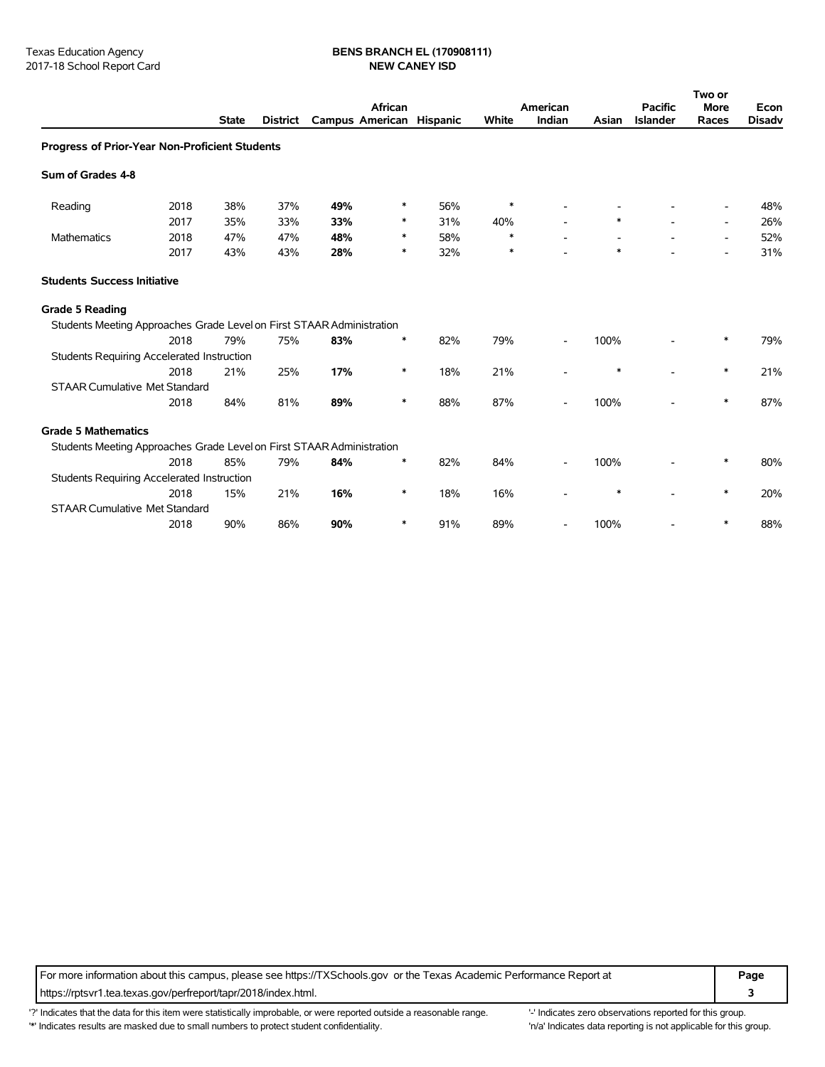# Texas Education Agency **BENS BRANCH EL (170908111)**<br>2017-18 School Report Card **BENS BRANCH EL (170908111)**

|                                                                       |      |              |                 | African                  |        |     | American |        |        | <b>Pacific</b>  | Two or<br><b>More</b>    | Econ          |
|-----------------------------------------------------------------------|------|--------------|-----------------|--------------------------|--------|-----|----------|--------|--------|-----------------|--------------------------|---------------|
|                                                                       |      | <b>State</b> | <b>District</b> | Campus American Hispanic |        |     | White    | Indian | Asian  | <b>Islander</b> | Races                    | <b>Disadv</b> |
| Progress of Prior-Year Non-Proficient Students                        |      |              |                 |                          |        |     |          |        |        |                 |                          |               |
| Sum of Grades 4-8                                                     |      |              |                 |                          |        |     |          |        |        |                 |                          |               |
| Reading                                                               | 2018 | 38%          | 37%             | 49%                      | $\ast$ | 56% | $\ast$   |        |        |                 |                          | 48%           |
|                                                                       | 2017 | 35%          | 33%             | 33%                      | ∗      | 31% | 40%      |        |        |                 | $\overline{\phantom{a}}$ | 26%           |
| Mathematics                                                           | 2018 | 47%          | 47%             | 48%                      | ∗      | 58% | $\ast$   |        |        |                 |                          | 52%           |
|                                                                       | 2017 | 43%          | 43%             | 28%                      | ∗      | 32% | $\ast$   |        | $\ast$ |                 |                          | 31%           |
| <b>Students Success Initiative</b>                                    |      |              |                 |                          |        |     |          |        |        |                 |                          |               |
| <b>Grade 5 Reading</b>                                                |      |              |                 |                          |        |     |          |        |        |                 |                          |               |
| Students Meeting Approaches Grade Level on First STAAR Administration |      |              |                 |                          |        |     |          |        |        |                 |                          |               |
|                                                                       | 2018 | 79%          | 75%             | 83%                      | ∗      | 82% | 79%      |        | 100%   |                 |                          | 79%           |
| <b>Students Requiring Accelerated Instruction</b>                     |      |              |                 |                          |        |     |          |        |        |                 |                          |               |
|                                                                       | 2018 | 21%          | 25%             | 17%                      | ∗      | 18% | 21%      |        | ∗      |                 | ∗                        | 21%           |
| <b>STAAR Cumulative Met Standard</b>                                  |      |              |                 |                          |        |     |          |        |        |                 |                          |               |
|                                                                       | 2018 | 84%          | 81%             | 89%                      | ∗      | 88% | 87%      |        | 100%   |                 | *                        | 87%           |
| <b>Grade 5 Mathematics</b>                                            |      |              |                 |                          |        |     |          |        |        |                 |                          |               |
| Students Meeting Approaches Grade Level on First STAAR Administration |      |              |                 |                          |        |     |          |        |        |                 |                          |               |
|                                                                       | 2018 | 85%          | 79%             | 84%                      | ∗      | 82% | 84%      |        | 100%   |                 | *                        | 80%           |
| <b>Students Requiring Accelerated Instruction</b>                     |      |              |                 |                          |        |     |          |        |        |                 |                          |               |
|                                                                       | 2018 | 15%          | 21%             | 16%                      | $\ast$ | 18% | 16%      |        | *      |                 | *                        | 20%           |
| <b>STAAR Cumulative Met Standard</b>                                  |      |              |                 |                          |        |     |          |        |        |                 |                          |               |
|                                                                       | 2018 | 90%          | 86%             | 90%                      | ∗      | 91% | 89%      |        | 100%   |                 | ∗                        | 88%           |

For more information about this campus, please see https://TXSchools.gov or the Texas Academic Performance Report at **Page** https://rptsvr1.tea.texas.gov/perfreport/tapr/2018/index.html. **3**

'?' Indicates that the data for this item were statistically improbable, or were reported outside a reasonable range. "Indicates zero observations reported for this group. '\*' Indicates results are masked due to small numbers to protect student confidentiality. 
"n/a' Indicates data reporting is not applicable for this group.